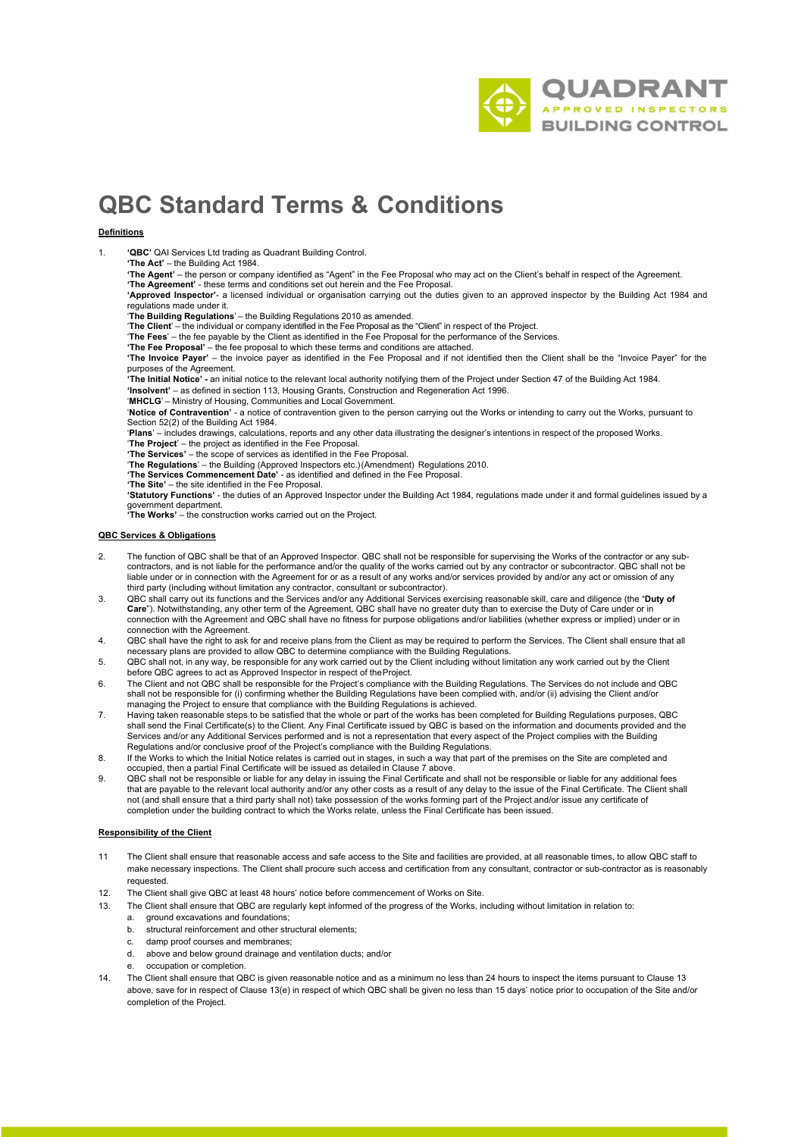

# **QBC Standard Terms & Conditions**

# **Definitions**

1. **'QBC'** QAI Services Ltd trading as Quadrant Building Control.

**'The Act'** – the Building Act 1984.

**'The Agent'** – the person or company identified as "Agent" in the Fee Proposal who may act on the Client's behalf in respect of the Agreement. **'The Agreement'** - these terms and conditions set out herein and the Fee Proposal.

**'Approved Inspector'**- a licensed individual or organisation carrying out the duties given to an approved inspector by the Building Act 1984 and regulations made under it.

'**The Building Regulations**' – the Building Regulations 2010 as amended.

'**The Client**' – the individual or company identified in the Fee Proposal as the "Client" in respect of the Project.

'**The Fees**' – the fee payable by the Client as identified in the Fee Proposal for the performance of the Services. **'The Fee Proposal'** – the fee proposal to which these terms and conditions are attached.

**The Invoice Payer'** – the invoice payer as identified in the Fee Proposal and if not identified then the Client shall be the "Invoice Payer" for the purposes of the Agreement.

**'The Initial Notice' -** an initial notice to the relevant local authority notifying them of the Project under Section 47 of the Building Act 1984.

**'Insolvent'** – as defined in section 113, Housing Grants, Construction and Regeneration Act 1996.

'**MHCLG**' – Ministry of Housing, Communities and Local Government.

'**Notice of Contravention'** - a notice of contravention given to the person carrying out the Works or intending to carry out the Works, pursuant to Section 52(2) of the Building Act 1984.

'**Plans**' – includes drawings, calculations, reports and any other data illustrating the designer's intentions in respect of the proposed Works. '**The Project**' – the project as identified in the Fee Proposal.

**'The Services'** – the scope of services as identified in the Fee Proposal.

'**The Regulations**' – the Building (Approved Inspectors etc.)(Amendment) Regulations 2010. **'The Services Commencement Date'** - as identified and defined in the Fee Proposal.

**'The Site'** – the site identified in the Fee Proposal.

**'Statutory Functions'** - the duties of an Approved Inspector under the Building Act 1984, regulations made under it and formal guidelines issued by a government department. **'The Works'** – the construction works carried out on the Project.

### **QBC Services & Obligations**

- 2. The function of QBC shall be that of an Approved Inspector. QBC shall not be responsible for supervising the Works of the contractor or any subcontractors, and is not liable for the performance and/or the quality of the works carried out by any contractor or subcontractor. QBC shall not be liable under or in connection with the Agreement for or as a result of any works and/or services provided by and/or any act or omission of any third party (including without limitation any contractor, consultant or subcontractor).
- 3. QBC shall carry out its functions and the Services and/or any Additional Services exercising reasonable skill, care and diligence (the "**Duty of Care**"). Notwithstanding, any other term of the Agreement, QBC shall have no greater duty than to exercise the Duty of Care under or in connection with the Agreement and QBC shall have no fitness for purpose obligations and/or liabilities (whether express or implied) under or in connection with the Agreement.
- 4. QBC shall have the right to ask for and receive plans from the Client as may be required to perform the Services. The Client shall ensure that all necessary plans are provided to allow QBC to determine compliance with the Building Regulations.
- 5. QBC shall not, in any way, be responsible for any work carried out by the Client including without limitation any work carried out by the Client before QBC agrees to act as Approved Inspector in respect of theProject.
- 6. The Client and not QBC shall be responsible for the Project's compliance with the Building Regulations. The Services do not include and QBC shall not be responsible for (i) confirming whether the Building Regulations have been complied with, and/or (ii) advising the Client and/or managing the Project to ensure that compliance with the Building Regulations is achieved.
- 7. Having taken reasonable steps to be satisfied that the whole or part of the works has been completed for Building Regulations purposes, QBC shall send the Final Certificate(s) to the Client. Any Final Certificate issued by QBC is based on the information and documents provided and the<br>Services and/or any Additional Services performed and is not a representatio Regulations and/or conclusive proof of the Project's compliance with the Building Regulations.
- 8. If the Works to which the Initial Notice relates is carried out in stages, in such a way that part of the premises on the Site are completed and occupied, then a partial Final Certificate will be issued as detailed in Clause 7 above.
- 9. QBC shall not be responsible or liable for any delay in issuing the Final Certificate and shall not be responsible or liable for any additional fees that are payable to the relevant local authority and/or any other costs as a result of any delay to the issue of the Final Certificate. The Client shall<br>not (and shall ensure that a third party shall not) take possession o completion under the building contract to which the Works relate, unless the Final Certificate has been issued.

## **Responsibility of the Client**

- 11 The Client shall ensure that reasonable access and safe access to the Site and facilities are provided, at all reasonable times, to allow QBC staff to make necessary inspections. The Client shall procure such access and certification from any consultant, contractor or sub-contractor as is reasonably requested.
- 12. The Client shall give QBC at least 48 hours' notice before commencement of Works on Site.
- 13. The Client shall ensure that QBC are regularly kept informed of the progress of the Works, including without limitation in relation to:
	- a. ground excavations and foundations;
	- b. structural reinforcement and other structural elements;
	- c. damp proof courses and membranes;
	- d. above and below ground drainage and ventilation ducts; and/or
	- occupation or completion.
- 14. The Client shall ensure that QBC is given reasonable notice and as a minimum no less than 24 hours to inspect the items pursuant to Clause 13 above, save for in respect of Clause 13(e) in respect of which QBC shall be given no less than 15 days' notice prior to occupation of the Site and/or completion of the Project.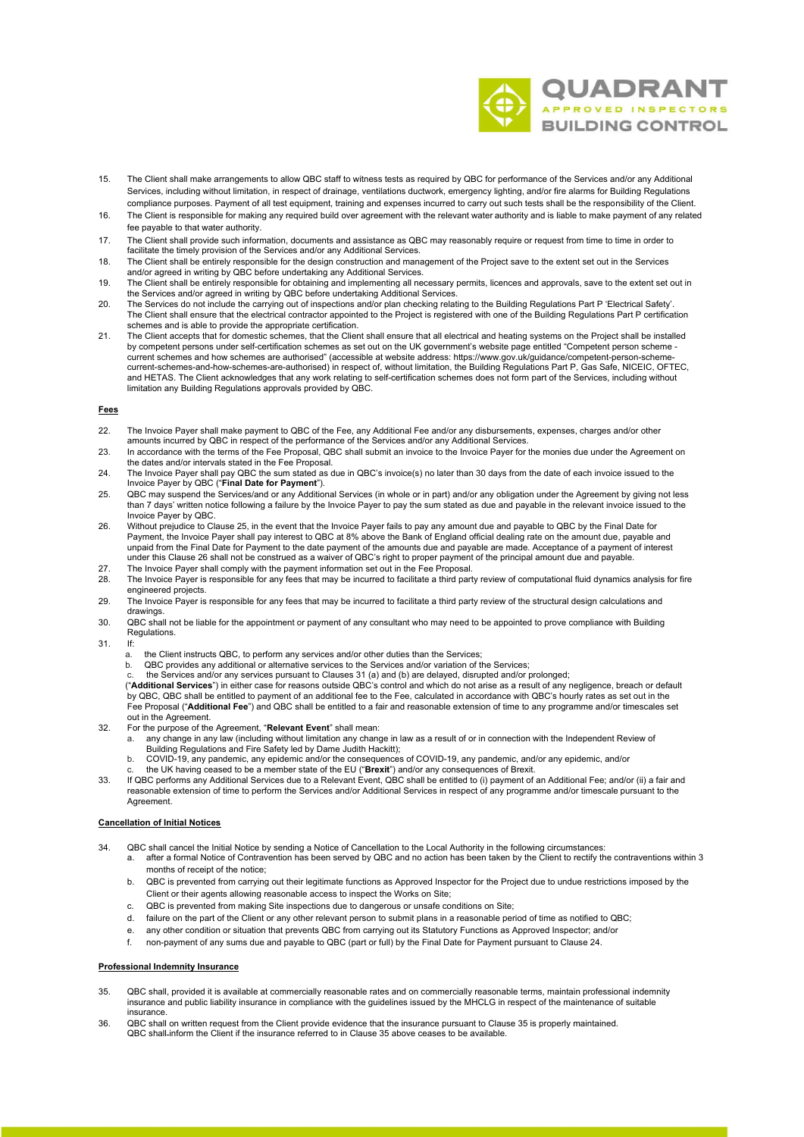

- 15. The Client shall make arrangements to allow QBC staff to witness tests as required by QBC for performance of the Services and/or any Additional Services, including without limitation, in respect of drainage, ventilations ductwork, emergency lighting, and/or fire alarms for Building Regulations compliance purposes. Payment of all test equipment, training and expenses incurred to carry out such tests shall be the responsibility of the Client.
- 16. The Client is responsible for making any required build over agreement with the relevant water authority and is liable to make payment of any related fee payable to that water authority.
- 17. The Client shall provide such information, documents and assistance as QBC may reasonably require or request from time to time in order to facilitate the timely provision of the Services and/or any Additional Services.
- 18. The Client shall be entirely responsible for the design construction and management of the Project save to the extent set out in the Services and/or agreed in writing by QBC before undertaking any Additional Services.
- 19. The Client shall be entirely responsible for obtaining and implementing all necessary permits, licences and approvals, save to the extent set out in the Services and/or agreed in writing by QBC before undertaking Additional Services.
- 20. The Services do not include the carrying out of inspections and/or plan checking relating to the Building Regulations Part P 'Electrical Safety'.<br>The Client shall ensure that the electrical contractor appointed to the schemes and is able to provide the appropriate certification.
- 21. The Client accepts that for domestic schemes, that the Client shall ensure that all electrical and heating systems on the Project shall be installed<br>- by competent persons under self-certification schemes as set out on current schemes and how schemes are authorised" (accessible at website address: https://www.gov.uk/guidance/competent-person-schemecurrent-schemes-and-how-schemes-are-authorised) in respect of, without limitation, the Building Regulations Part P, Gas Safe, NICEIC, OFTEC, and HETAS. The Client acknowledges that any work relating to self-certification schemes does not form part of the Services, including without limitation any Building Regulations approvals provided by QBC.

## **Fees**

- 22. The Invoice Payer shall make payment to QBC of the Fee, any Additional Fee and/or any disbursements, expenses, charges and/or other amounts incurred by QBC in respect of the performance of the Services and/or any Additional Services.
- 23. In accordance with the terms of the Fee Proposal, QBC shall submit an invoice to the Invoice Payer for the monies due under the Agreement on the dates and/or intervals stated in the Fee Proposal.
- 24. The Invoice Payer shall pay QBC the sum stated as due in QBC's invoice(s) no later than 30 days from the date of each invoice issued to the Invoice Payer by QBC ("**Final Date for Payment**").
- 25. QBC may suspend the Services/and or any Additional Services (in whole or in part) and/or any obligation under the Agreement by giving not less than 7 days' written notice following a failure by the Invoice Payer to pay the sum stated as due and payable in the relevant invoice issued to the Invoice Payer by QBC.
- 26. Without prejudice to Clause 25, in the event that the Invoice Payer fails to pay any amount due and payable to QBC by the Final Date for Payment, the Invoice Payer shall pay interest to QBC at 8% above the Bank of England official dealing rate on the amount due, payable and unpaid from the Final Date for Payment to the date payment of the amounts due and payable are made. Acceptance of a payment of interest<br>under this Clause 26 shall not be construed as a waiver of QBC's right to proper payme
- 27. The Invoice Payer shall comply with the payment information set out in the Fee Proposal.
- 28. The Invoice Payer is responsible for any fees that may be incurred to facilitate a third party review of computational fluid dynamics analysis for fire engineered projects.
- 29. The Invoice Payer is responsible for any fees that may be incurred to facilitate a third party review of the structural design calculations and drawings.
- 30. QBC shall not be liable for the appointment or payment of any consultant who may need to be appointed to prove compliance with Building Regulations.
- 31. If:
	- a. the Client instructs QBC, to perform any services and/or other duties than the Services;
	- b. QBC provides any additional or alternative services to the Services and/or variation of the Services; c. the Services and/or any services pursuant to Clauses 31 (a) and (b) are delayed, disrupted and/or prolonged;

("**Additional Services**") in either case for reasons outside QBC's control and which do not arise as a result of any negligence, breach or default by QBC, QBC shall be entitled to payment of an additional fee to the Fee, calculated in accordance with QBC's hourly rates as set out in the Fee Proposal ("**Additional Fee**") and QBC shall be entitled to a fair and reasonable extension of time to any programme and/or timescales set out in the Agreement.

- 32. For the purpose of the Agreement, "**Relevant Event**" shall mean:
	- a. any change in any law (including without limitation any change in law as a result of or in connection with the Independent Review of
	- Building Regulations and Fire Safety led by Dame Judith Hackitt); b. COVID-19, any pandemic, any epidemic and/or the consequences of COVID-19, any pandemic, and/or any epidemic, and/or
	-
- c. the UK having ceased to be a member state of the EU ("**Brexit**") and/or any consequences of Brexit.<br>33. If QBC performs any Additional Services due to a Relevant Event, QBC shall be entitled to (i) payment of an Additio reasonable extension of time to perform the Services and/or Additional Services in respect of any programme and/or timescale pursuant to the Agreement.

# **Cancellation of Initial Notices**

- 34. QBC shall cancel the Initial Notice by sending a Notice of Cancellation to the Local Authority in the following circumstances:
	- a. after a formal Notice of Contravention has been served by QBC and no action has been taken by the Client to rectify the contraventions within 3 months of receipt of the notice;
		- b. QBC is prevented from carrying out their legitimate functions as Approved Inspector for the Project due to undue restrictions imposed by the Client or their agents allowing reasonable access to inspect the Works on Site;
		- QBC is prevented from making Site inspections due to dangerous or unsafe conditions on Site;
		- d. failure on the part of the Client or any other relevant person to submit plans in a reasonable period of time as notified to QBC;
		- e. any other condition or situation that prevents QBC from carrying out its Statutory Functions as Approved Inspector; and/or
		- f. non-payment of any sums due and payable to QBC (part or full) by the Final Date for Payment pursuant to Clause 24.

# **Professional Indemnity Insurance**

- 35. QBC shall, provided it is available at commercially reasonable rates and on commercially reasonable terms, maintain professional indemnity insurance and public liability insurance in compliance with the guidelines issued by the MHCLG in respect of the maintenance of suitable insurance.
- 36. QBC shall on written request from the Client provide evidence that the insurance pursuant to Clause 35 is properly maintained. QBC shall inform the Client if the insurance referred to in Clause 35 above ceases to be available.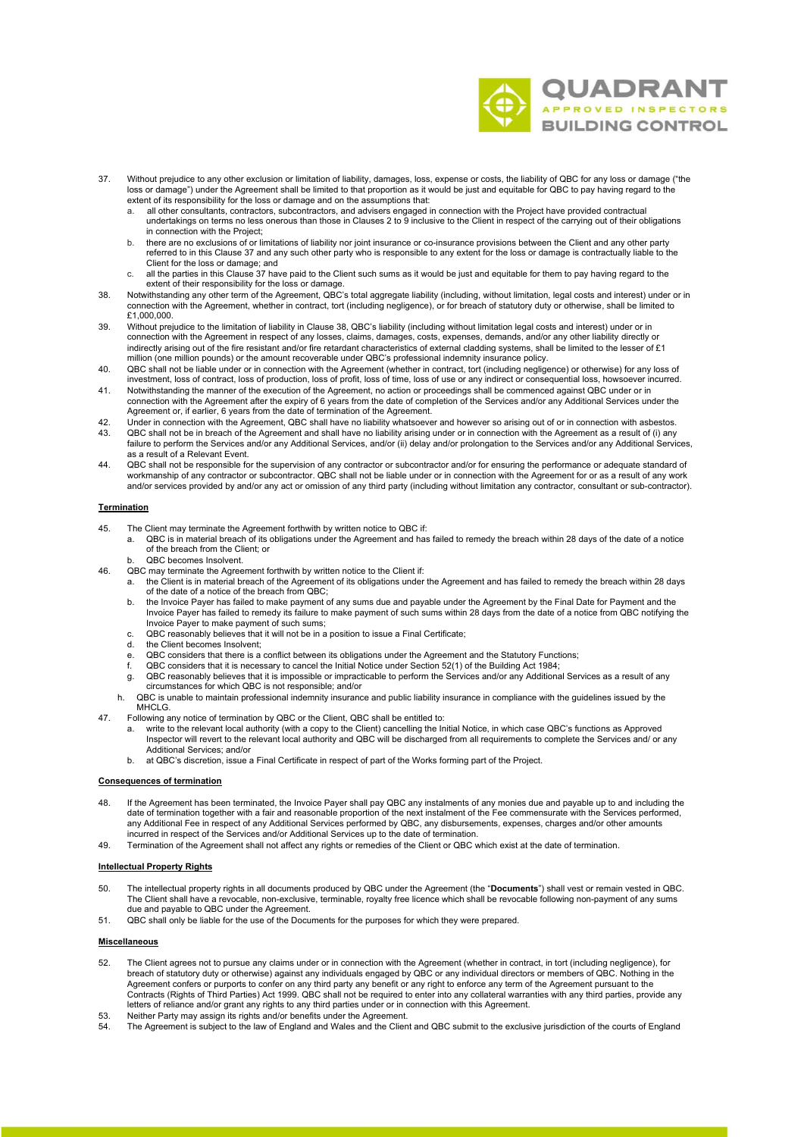

- 37. Without prejudice to any other exclusion or limitation of liability, damages, loss, expense or costs, the liability of QBC for any loss or damage ("the loss or damage") under the Agreement shall be limited to that proportion as it would be just and equitable for QBC to pay having regard to the extent of its responsibility for the loss or damage and on the assumptions that:
	- a. all other consultants, contractors, subcontractors, and advisers engaged in connection with the Project have provided contractual undertakings on terms no less onerous than those in Clauses 2 to 9 inclusive to the Client in respect of the carrying out of their obligations in connection with the Project;
	- b. there are no exclusions of or limitations of liability nor joint insurance or co-insurance provisions between the Client and any other party referred to in this Clause 37 and any such other party who is responsible to any extent for the loss or damage is contractually liable to the Client for the loss or damage; and
	- c. all the parties in this Clause 37 have paid to the Client such sums as it would be just and equitable for them to pay having regard to the extent of their responsibility for the loss or damage.
- 38. Notwithstanding any other term of the Agreement, QBC's total aggregate liability (including, without limitation, legal costs and interest) under or in connection with the Agreement, whether in contract, tort (including negligence), or for breach of statutory duty or otherwise, shall be limited to £1,000,000.
- 39. Without prejudice to the limitation of liability in Clause 38, QBC's liability (including without limitation legal costs and interest) under or in<br>connection with the Agreement in respect of any losses, claims, damages indirectly arising out of the fire resistant and/or fire retardant characteristics of external cladding systems, shall be limited to the lesser of £1 million (one million pounds) or the amount recoverable under QBC's professional indemnity insurance policy.
- 40. QBC shall not be liable under or in connection with the Agreement (whether in contract, tort (including negligence) or otherwise) for any loss of<br>investment, loss of contract, loss of production, loss of profit, loss o
- 41. Notwithstanding the manner of the execution of the Agreement, no action or proceedings shall be commenced against QBC under or in connection with the Agreement after the expiry of 6 years from the date of completion of the Services and/or any Additional Services under the Agreement or, if earlier, 6 years from the date of termination of the Agreement.
- 42. Under in connection with the Agreement, QBC shall have no liability whatsoever and however so arising out of or in connection with asbestos.<br>43. QBC shall not be in breach of the Agreement and shall have no liability a 43. QBC shall not be in breach of the Agreement and shall have no liability arising under or in connection with the Agreement as a result of (i) any failure to perform the Services and/or any Additional Services, and/or (ii) delay and/or prolongation to the Services and/or any Additional Services, as a result of a Relevant Event.
- 44. QBC shall not be responsible for the supervision of any contractor or subcontractor and/or for ensuring the performance or adequate standard of workmanship of any contractor or subcontractor. QBC shall not be liable under or in connection with the Agreement for or as a result of any work<br>and/or services provided by and/or any act or omission of any third party (in

## **Termination**

- 45. The Client may terminate the Agreement forthwith by written notice to QBC if:
	- a. QBC is in material breach of its obligations under the Agreement and has failed to remedy the breach within 28 days of the date of a notice of the breach from the Client; or
		- QBC becomes Insolvent
- 46. QBC may terminate the Agreement forthwith by written notice to the Client if:
	- a. the Client is in material breach of the Agreement of its obligations under the Agreement and has failed to remedy the breach within 28 days of the date of a notice of the breach from QBC;
	- the Invoice Payer has failed to make payment of any sums due and payable under the Agreement by the Final Date for Payment and the Invoice Payer has failed to remedy its failure to make payment of such sums within 28 days from the date of a notice from QBC notifying the Invoice Payer to make payment of such sums;
	- c. QBC reasonably believes that it will not be in a position to issue a Final Certificate;
	- the Client becomes Insolvent:
	-
	- e. QBC considers that there is a conflict between its obligations under the Agreement and the Statutory Functions;<br>f. QBC considers that it is necessary to cancel the Initial Notice under Section 52(1) of the Building A
	- g. QBC reasonably believes that it is impossible or impracticable to perform the Services and/or any Additional Services as a result of any circumstances for which QBC is not responsible; and/or
	- h. QBC is unable to maintain professional indemnity insurance and public liability insurance in compliance with the guidelines issued by the MHCLG.
- 
- Following any notice of termination by QBC or the Client, QBC shall be entitled to:<br>a. write to the relevant local authority (with a copy to the Client) cancelling the Initial Notice, in which case QBC's functions as A Additional Services; and/or
	- b. at QBC's discretion, issue a Final Certificate in respect of part of the Works forming part of the Project.

#### **Consequences of termination**

- 48. If the Agreement has been terminated, the Invoice Payer shall pay QBC any instalments of any monies due and payable up to and including the date of termination together with a fair and reasonable proportion of the next instalment of the Fee commensurate with the Services performed,<br>any Additional Fee in respect of any Additional Services performed by QBC, any incurred in respect of the Services and/or Additional Services up to the date of termination.
- 49. Termination of the Agreement shall not affect any rights or remedies of the Client or QBC which exist at the date of termination.

#### **Intellectual Property Rights**

- 50. The intellectual property rights in all documents produced by QBC under the Agreement (the "**Documents**") shall vest or remain vested in QBC.<br>The Client shall have a revocable, non-exclusive, terminable, royalty free l due and payable to QBC under the Agreement.
- 51. QBC shall only be liable for the use of the Documents for the purposes for which they were prepared.

#### **Miscellaneous**

- 52. The Client agrees not to pursue any claims under or in connection with the Agreement (whether in contract, in tort (including negligence), for breach of statutory duty or otherwise) against any individuals engaged by QBC or any individual directors or members of QBC. Nothing in the Agreement confers or purports to confer on any third party any benefit or any right to enforce any term of the Agreement pursuant to the<br>Contracts (Rights of Third Parties) Act 1999. QBC shall not be required to enter into letters of reliance and/or grant any rights to any third parties under or in connection with this Agreement.
- 53. Neither Party may assign its rights and/or benefits under the Agreement.<br>54. The Agreement is subject to the law of England and Wales and the Clien
- The Agreement is subject to the law of England and Wales and the Client and QBC submit to the exclusive jurisdiction of the courts of England